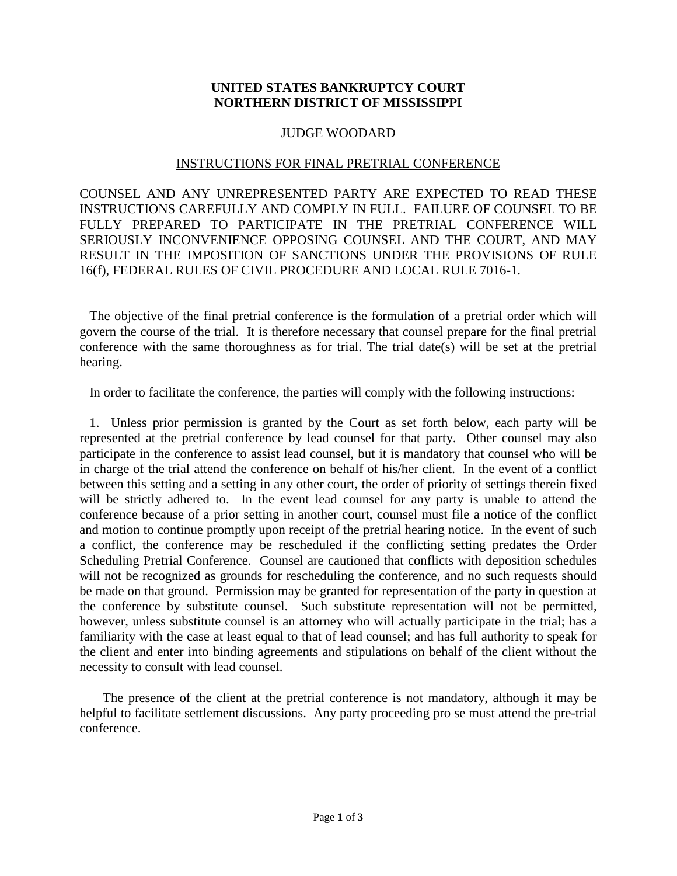## **UNITED STATES BANKRUPTCY COURT NORTHERN DISTRICT OF MISSISSIPPI**

## JUDGE WOODARD

## INSTRUCTIONS FOR FINAL PRETRIAL CONFERENCE

COUNSEL AND ANY UNREPRESENTED PARTY ARE EXPECTED TO READ THESE INSTRUCTIONS CAREFULLY AND COMPLY IN FULL. FAILURE OF COUNSEL TO BE FULLY PREPARED TO PARTICIPATE IN THE PRETRIAL CONFERENCE WILL SERIOUSLY INCONVENIENCE OPPOSING COUNSEL AND THE COURT, AND MAY RESULT IN THE IMPOSITION OF SANCTIONS UNDER THE PROVISIONS OF RULE 16(f), FEDERAL RULES OF CIVIL PROCEDURE AND LOCAL RULE 7016-1.

 The objective of the final pretrial conference is the formulation of a pretrial order which will govern the course of the trial. It is therefore necessary that counsel prepare for the final pretrial conference with the same thoroughness as for trial. The trial date(s) will be set at the pretrial hearing.

In order to facilitate the conference, the parties will comply with the following instructions:

 1. Unless prior permission is granted by the Court as set forth below, each party will be represented at the pretrial conference by lead counsel for that party. Other counsel may also participate in the conference to assist lead counsel, but it is mandatory that counsel who will be in charge of the trial attend the conference on behalf of his/her client. In the event of a conflict between this setting and a setting in any other court, the order of priority of settings therein fixed will be strictly adhered to. In the event lead counsel for any party is unable to attend the conference because of a prior setting in another court, counsel must file a notice of the conflict and motion to continue promptly upon receipt of the pretrial hearing notice. In the event of such a conflict, the conference may be rescheduled if the conflicting setting predates the Order Scheduling Pretrial Conference. Counsel are cautioned that conflicts with deposition schedules will not be recognized as grounds for rescheduling the conference, and no such requests should be made on that ground. Permission may be granted for representation of the party in question at the conference by substitute counsel. Such substitute representation will not be permitted, however, unless substitute counsel is an attorney who will actually participate in the trial; has a familiarity with the case at least equal to that of lead counsel; and has full authority to speak for the client and enter into binding agreements and stipulations on behalf of the client without the necessity to consult with lead counsel.

 The presence of the client at the pretrial conference is not mandatory, although it may be helpful to facilitate settlement discussions. Any party proceeding pro se must attend the pre-trial conference.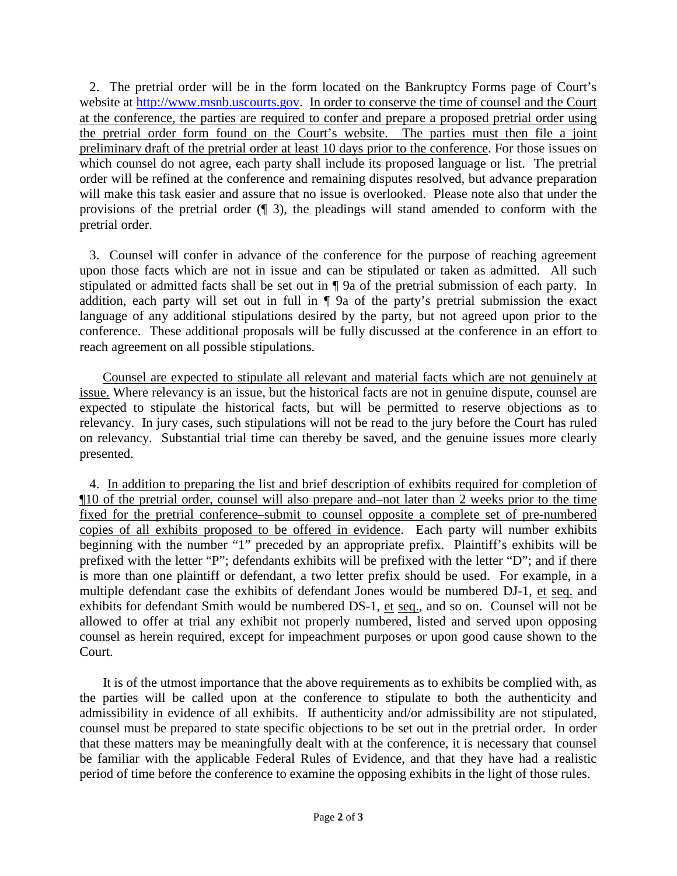2. The pretrial order will be in the form located on the Bankruptcy Forms page of Court's website at [http://www.msnb.uscourts.gov.](http://www.msnb.uscourts.gov/) In order to conserve the time of counsel and the Court at the conference, the parties are required to confer and prepare a proposed pretrial order using the pretrial order form found on the Court's website. The parties must then file a joint preliminary draft of the pretrial order at least 10 days prior to the conference. For those issues on which counsel do not agree, each party shall include its proposed language or list. The pretrial order will be refined at the conference and remaining disputes resolved, but advance preparation will make this task easier and assure that no issue is overlooked. Please note also that under the provisions of the pretrial order (¶ 3), the pleadings will stand amended to conform with the pretrial order.

 3. Counsel will confer in advance of the conference for the purpose of reaching agreement upon those facts which are not in issue and can be stipulated or taken as admitted. All such stipulated or admitted facts shall be set out in ¶ 9a of the pretrial submission of each party. In addition, each party will set out in full in ¶ 9a of the party's pretrial submission the exact language of any additional stipulations desired by the party, but not agreed upon prior to the conference. These additional proposals will be fully discussed at the conference in an effort to reach agreement on all possible stipulations.

 Counsel are expected to stipulate all relevant and material facts which are not genuinely at issue. Where relevancy is an issue, but the historical facts are not in genuine dispute, counsel are expected to stipulate the historical facts, but will be permitted to reserve objections as to relevancy. In jury cases, such stipulations will not be read to the jury before the Court has ruled on relevancy. Substantial trial time can thereby be saved, and the genuine issues more clearly presented.

 4. In addition to preparing the list and brief description of exhibits required for completion of ¶10 of the pretrial order, counsel will also prepare and–not later than 2 weeks prior to the time fixed for the pretrial conference–submit to counsel opposite a complete set of pre-numbered copies of all exhibits proposed to be offered in evidence. Each party will number exhibits beginning with the number "1" preceded by an appropriate prefix. Plaintiff's exhibits will be prefixed with the letter "P"; defendants exhibits will be prefixed with the letter "D"; and if there is more than one plaintiff or defendant, a two letter prefix should be used. For example, in a multiple defendant case the exhibits of defendant Jones would be numbered DJ-1, et seq. and exhibits for defendant Smith would be numbered DS-1, et seq., and so on. Counsel will not be allowed to offer at trial any exhibit not properly numbered, listed and served upon opposing counsel as herein required, except for impeachment purposes or upon good cause shown to the Court.

 It is of the utmost importance that the above requirements as to exhibits be complied with, as the parties will be called upon at the conference to stipulate to both the authenticity and admissibility in evidence of all exhibits. If authenticity and/or admissibility are not stipulated, counsel must be prepared to state specific objections to be set out in the pretrial order. In order that these matters may be meaningfully dealt with at the conference, it is necessary that counsel be familiar with the applicable Federal Rules of Evidence, and that they have had a realistic period of time before the conference to examine the opposing exhibits in the light of those rules.